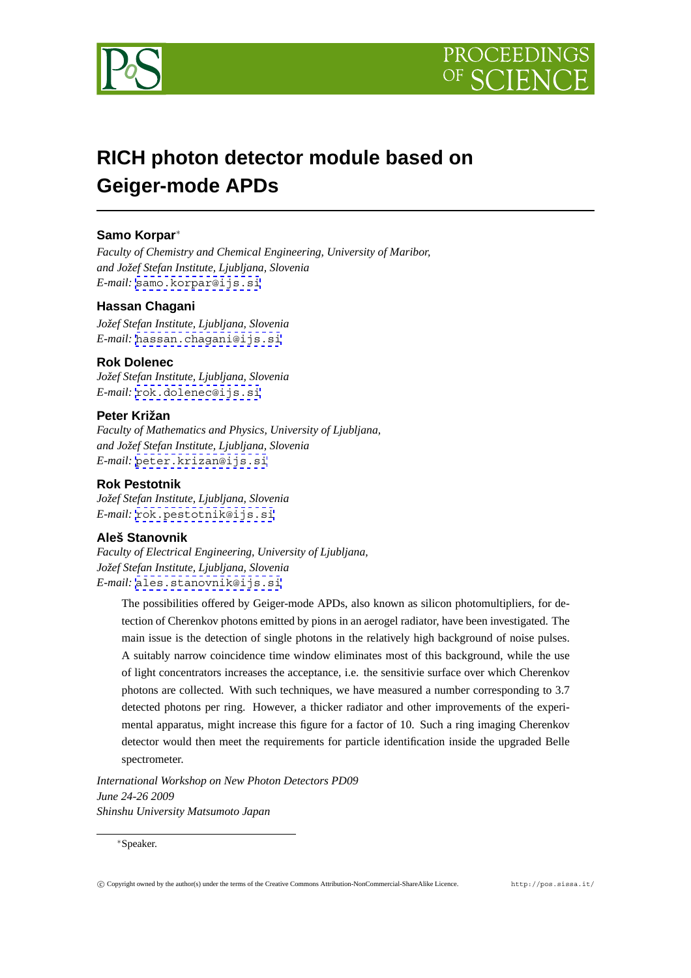



# **RICH photon detector module based on Geiger-mode APDs**

# **Samo Korpar**∗

*Faculty of Chemistry and Chemical Engineering, University of Maribor, and Jožef Stefan Institute, Ljubljana, Slovenia E-mail:* [samo.korpar@ijs.si](mailto:samo.korpar@ijs.si)

## **Hassan Chagani**

*Jožef Stefan Institute, Ljubljana, Slovenia E-mail:* [hassan.chagani@ijs.si](mailto:hassan.chagani@ijs.si)

## **Rok Dolenec**

*Jožef Stefan Institute, Ljubljana, Slovenia E-mail:* [rok.dolenec@ijs.si](mailto:rok.dolenec@ijs.si)

# **Peter Križan**

*Faculty of Mathematics and Physics, University of Ljubljana, and Jožef Stefan Institute, Ljubljana, Slovenia E-mail:* [peter.krizan@ijs.si](mailto:peter.krizan@ijs.si)

## **Rok Pestotnik**

*Jožef Stefan Institute, Ljubljana, Slovenia E-mail:* [rok.pestotnik@ijs.si](mailto:rok.pestotnik@ijs.si)

# **Aleš Stanovnik**

*Faculty of Electrical Engineering, University of Ljubljana, Jožef Stefan Institute, Ljubljana, Slovenia E-mail:* [ales.stanovnik@ijs.si](mailto:ales.stanovnik@ijs.si)

The possibilities offered by Geiger-mode APDs, also known as silicon photomultipliers, for detection of Cherenkov photons emitted by pions in an aerogel radiator, have been investigated. The main issue is the detection of single photons in the relatively high background of noise pulses. A suitably narrow coincidence time window eliminates most of this background, while the use of light concentrators increases the acceptance, i.e. the sensitivie surface over which Cherenkov photons are collected. With such techniques, we have measured a number corresponding to 3.7 detected photons per ring. However, a thicker radiator and other improvements of the experimental apparatus, might increase this figure for a factor of 10. Such a ring imaging Cherenkov detector would then meet the requirements for particle identification inside the upgraded Belle spectrometer.

*International Workshop on New Photon Detectors PD09 June 24-26 2009 Shinshu University Matsumoto Japan*

∗Speaker.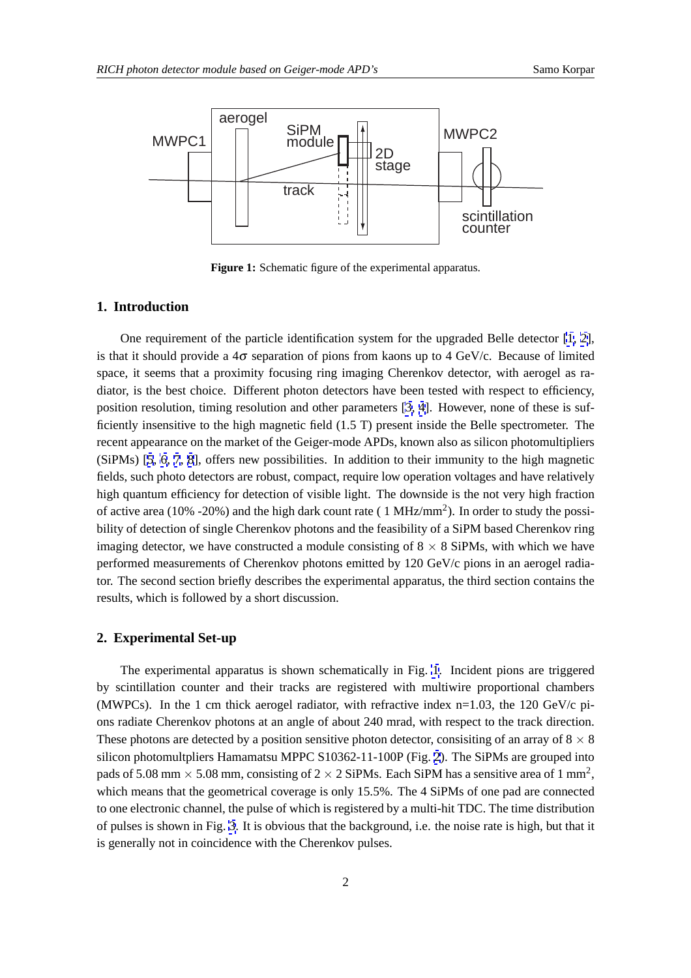

Figure 1: Schematic figure of the experimental apparatus.

#### **1. Introduction**

One requirement of the particle identification system for the upgraded Belle detector [\[1, 2\]](#page-5-0), is that it should provide a  $4\sigma$  separation of pions from kaons up to 4 GeV/c. Because of limited space, it seems that a proximity focusing ring imaging Cherenkov detector, with aerogel as radiator, is the best choice. Different photon detectors have been tested with respect to efficiency, position resolution, timing resolution and other parameters [\[3, 4](#page-5-0)]. However, none of these is sufficiently insensitive to the high magnetic field (1.5 T) present inside the Belle spectrometer. The recent appearance on the market of the Geiger-mode APDs, known also as silicon photomultipliers (SiPMs) [[5](#page-5-0), [6, 7](#page-5-0), [8](#page-5-0)], offers new possibilities. In addition to their immunity to the high magnetic fields, such photo detectors are robust, compact, require low operation voltages and have relatively high quantum efficiency for detection of visible light. The downside is the not very high fraction of active area (10% -20%) and the high dark count rate (  $1 \text{ MHz/mm}^2$ ). In order to study the possibility of detection of single Cherenkov photons and the feasibility of a SiPM based Cherenkov ring imaging detector, we have constructed a module consisting of  $8 \times 8$  SiPMs, with which we have performed measurements of Cherenkov photons emitted by 120 GeV/c pions in an aerogel radiator. The second section briefly describes the experimental apparatus, the third section contains the results, which is followed by a short discussion.

## **2. Experimental Set-up**

The experimental apparatus is shown schematically in Fig. 1. Incident pions are triggered by scintillation counter and their tracks are registered with multiwire proportional chambers (MWPCs). In the 1 cm thick aerogel radiator, with refractive index  $n=1.03$ , the 120 GeV/c pions radiate Cherenkov photons at an angle of about 240 mrad, with respect to the track direction. These photons are detected by a position sensitive photon detector, consisting of an array of  $8 \times 8$ silicon photomultpliers Hamamatsu MPPC S10362-11-100P (Fig. [2](#page-2-0)). The SiPMs are grouped into pads of 5.08 mm  $\times$  5.08 mm, consisting of 2  $\times$  2 SiPMs. Each SiPM has a sensitive area of 1 mm<sup>2</sup>, which means that the geometrical coverage is only 15.5%. The 4 SiPMs of one pad are connected to one electronic channel, the pulse of which is registered by a multi-hit TDC. The time distribution of pulses is shown in Fig. [3.](#page-2-0) It is obvious that the background, i.e. the noise rate is high, but that it is generally not in coincidence with the Cherenkov pulses.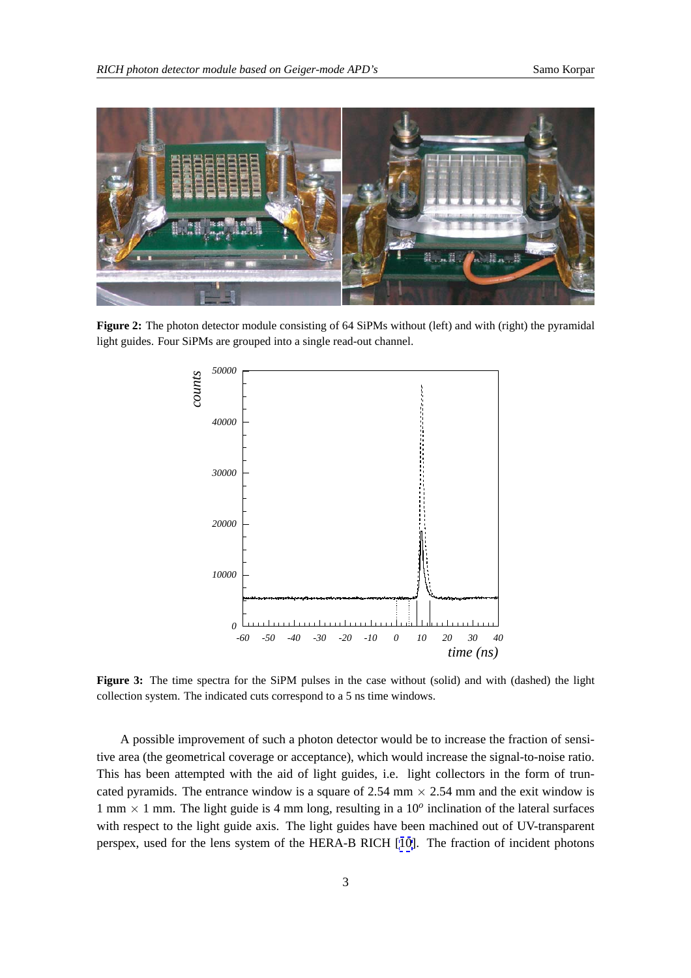<span id="page-2-0"></span>

**Figure 2:** The photon detector module consisting of 64 SiPMs without (left) and with (right) the pyramidal light guides. Four SiPMs are grouped into a single read-out channel.



**Figure 3:** The time spectra for the SiPM pulses in the case without (solid) and with (dashed) the light collection system. The indicated cuts correspond to a 5 ns time windows.

A possible improvement of such a photon detector would be to increase the fraction of sensitive area (the geometrical coverage or acceptance), which would increase the signal-to-noise ratio. This has been attempted with the aid of light guides, i.e. light collectors in the form of truncated pyramids. The entrance window is a square of 2.54 mm  $\times$  2.54 mm and the exit window is 1 mm  $\times$  1 mm. The light guide is 4 mm long, resulting in a 10<sup>o</sup> inclination of the lateral surfaces with respect to the light guide axis. The light guides have been machined out of UV-transparent perspex, used for the lens system of the HERA-B RICH [[10\]](#page-5-0). The fraction of incident photons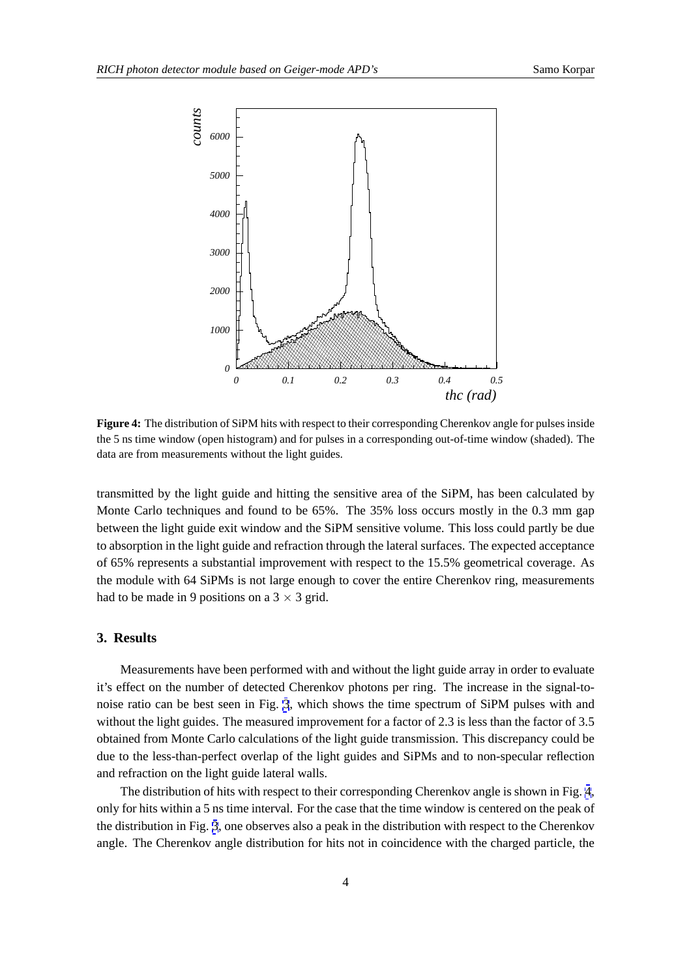<span id="page-3-0"></span>

**Figure 4:** The distribution of SiPM hits with respect to their corresponding Cherenkov angle for pulses inside the 5 ns time window (open histogram) and for pulses in a corresponding out-of-time window (shaded). The data are from measurements without the light guides.

transmitted by the light guide and hitting the sensitive area of the SiPM, has been calculated by Monte Carlo techniques and found to be 65%. The 35% loss occurs mostly in the 0.3 mm gap between the light guide exit window and the SiPM sensitive volume. This loss could partly be due to absorption in the light guide and refraction through the lateral surfaces. The expected acceptance of 65% represents a substantial improvement with respect to the 15.5% geometrical coverage. As the module with 64 SiPMs is not large enough to cover the entire Cherenkov ring, measurements had to be made in 9 positions on a  $3 \times 3$  grid.

#### **3. Results**

Measurements have been performed with and without the light guide array in order to evaluate it's effect on the number of detected Cherenkov photons per ring. The increase in the signal-tonoise ratio can be best seen in Fig. [3](#page-2-0), which shows the time spectrum of SiPM pulses with and without the light guides. The measured improvement for a factor of 2.3 is less than the factor of 3.5 obtained from Monte Carlo calculations of the light guide transmission. This discrepancy could be due to the less-than-perfect overlap of the light guides and SiPMs and to non-specular reflection and refraction on the light guide lateral walls.

The distribution of hits with respect to their corresponding Cherenkov angle is shown in Fig. 4, only for hits within a 5 ns time interval. For the case that the time window is centered on the peak of the distribution in Fig. [3](#page-2-0), one observes also a peak in the distribution with respect to the Cherenkov angle. The Cherenkov angle distribution for hits not in coincidence with the charged particle, the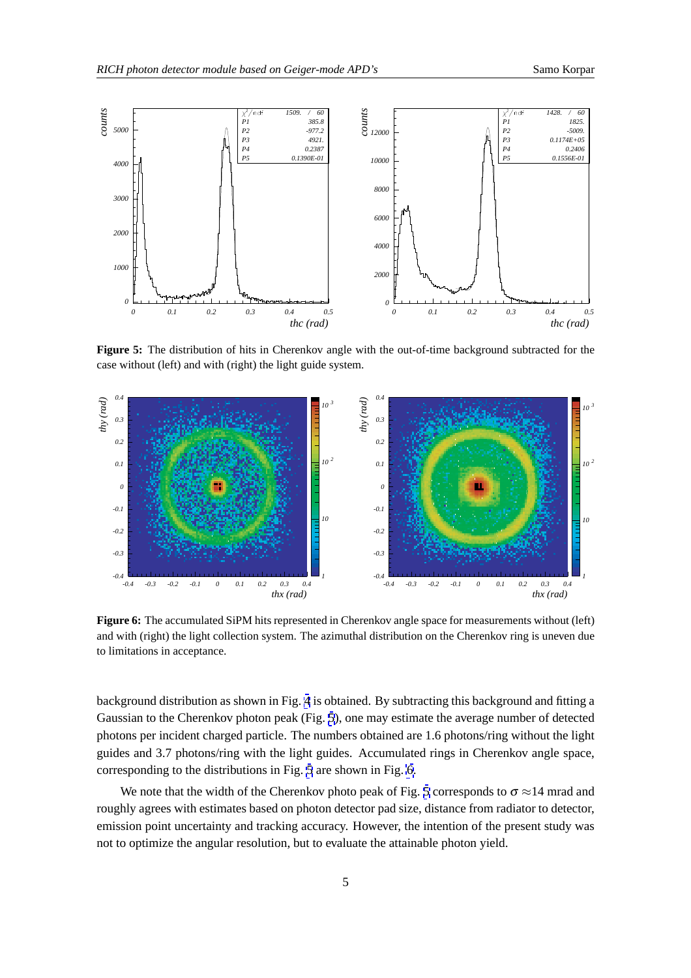

**Figure 5:** The distribution of hits in Cherenkov angle with the out-of-time background subtracted for the case without (left) and with (right) the light guide system.



**Figure 6:** The accumulated SiPM hits represented in Cherenkov angle space for measurements without (left) and with (right) the light collection system. The azimuthal distribution on the Cherenkov ring is uneven due to limitations in acceptance.

background distribution as shown in Fig. [4](#page-3-0) is obtained. By subtracting this background and fitting a Gaussian to the Cherenkov photon peak (Fig. 5), one may estimate the average number of detected photons per incident charged particle. The numbers obtained are 1.6 photons/ring without the light guides and 3.7 photons/ring with the light guides. Accumulated rings in Cherenkov angle space, corresponding to the distributions in Fig. 5 are shown in Fig. 6.

We note that the width of the Cherenkov photo peak of Fig. 5 corresponds to  $\sigma \approx 14$  mrad and roughly agrees with estimates based on photon detector pad size, distance from radiator to detector, emission point uncertainty and tracking accuracy. However, the intention of the present study was not to optimize the angular resolution, but to evaluate the attainable photon yield.